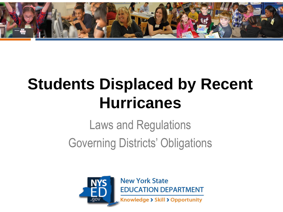

# **Students Displaced by Recent Hurricanes**

# Laws and Regulations Governing Districts' Obligations



**New York State EDUCATION DEPARTMENT** 

Knowledge > Skill > Opportunity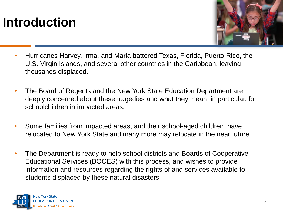# **Introduction**



- Hurricanes Harvey, Irma, and Maria battered Texas, Florida, Puerto Rico, the U.S. Virgin Islands, and several other countries in the Caribbean, leaving thousands displaced.
- The Board of Regents and the New York State Education Department are deeply concerned about these tragedies and what they mean, in particular, for schoolchildren in impacted areas.
- Some families from impacted areas, and their school-aged children, have relocated to New York State and many more may relocate in the near future.
- The Department is ready to help school districts and Boards of Cooperative Educational Services (BOCES) with this process, and wishes to provide information and resources regarding the rights of and services available to students displaced by these natural disasters.

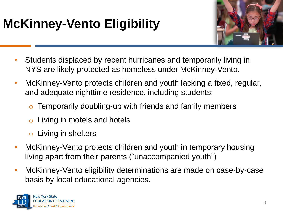# **McKinney-Vento Eligibility**



- Students displaced by recent hurricanes and temporarily living in NYS are likely protected as homeless under McKinney-Vento.
- McKinney-Vento protects children and youth lacking a fixed, regular, and adequate nighttime residence, including students:
	- $\circ$  Temporarily doubling-up with friends and family members
	- $\circ$  Living in motels and hotels
	- o Living in shelters
- McKinney-Vento protects children and youth in temporary housing living apart from their parents ("unaccompanied youth")
- McKinney-Vento eligibility determinations are made on case-by-case basis by local educational agencies.

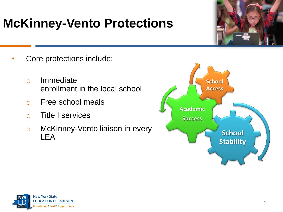# **McKinney-Vento Protections**

- Core protections include:
	- o Immediate enrollment in the local school
	- o Free school meals
	- o Title I services
	- o McKinney-Vento liaison in every LEA



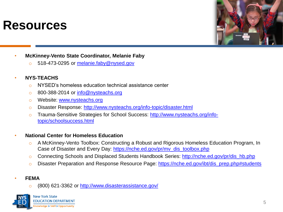#### **Resources**



- **McKinney-Vento State Coordinator, Melanie Faby**
	- 518-473-0295 or [melanie.faby@nysed.gov](mailto:melanie.faby@nysed.gov)

#### • **NYS-TEACHS**

- o NYSED's homeless education technical assistance center
- o 800-388-2014 or [info@nysteachs.org](mailto:info@nysteachs.org)
- o Website: [www.nysteachs.org](http://www.nysteachs.org/)
- o Disaster Response: <http://www.nysteachs.org/info-topic/disaster.html>
- o [Trauma-Sensitive Strategies for School Success: http://www.nysteachs.org/info](http://www.nysteachs.org/info-topic/schoolsuccess.html)topic/schoolsuccess.html

#### • **National Center for Homeless Education**

- o A McKinney-Vento Toolbox: Constructing a Robust and Rigorous Homeless Education Program, In Case of Disaster and Every Day: [https://nche.ed.gov/pr/mv\\_dis\\_toolbox.php](https://nche.ed.gov/pr/mv_dis_toolbox.php)
- o Connecting Schools and Displaced Students Handbook Series: [http://nche.ed.gov/pr/dis\\_hb.php](http://nche.ed.gov/pr/dis_hb.php)
- o Disaster Preparation and Response Resource Page: [https://nche.ed.gov/ibt/dis\\_prep.php#students](https://nche.ed.gov/ibt/dis_prep.php#students)

#### • **FEMA**

o (800) 621-3362 or <http://www.disasterassistance.gov/>

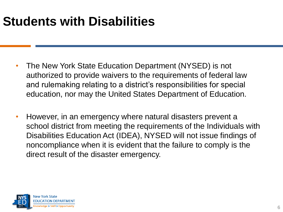- The New York State Education Department (NYSED) is not authorized to provide waivers to the requirements of federal law and rulemaking relating to a district's responsibilities for special education, nor may the United States Department of Education.
- However, in an emergency where natural disasters prevent a school district from meeting the requirements of the Individuals with Disabilities Education Act (IDEA), NYSED will not issue findings of noncompliance when it is evident that the failure to comply is the direct result of the disaster emergency.

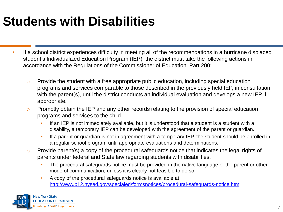- If a school district experiences difficulty in meeting all of the recommendations in a hurricane displaced student's Individualized Education Program (IEP), the district must take the following actions in accordance with the Regulations of the Commissioner of Education, Part 200:
	- o Provide the student with a free appropriate public education, including special education programs and services comparable to those described in the previously held IEP, in consultation with the parent(s), until the district conducts an individual evaluation and develops a new IEP if appropriate.
	- o Promptly obtain the IEP and any other records relating to the provision of special education programs and services to the child.
		- If an IEP is not immediately available, but it is understood that a student is a student with a disability, a temporary IEP can be developed with the agreement of the parent or guardian.
		- If a parent or guardian is not in agreement with a temporary IEP, the student should be enrolled in a regular school program until appropriate evaluations and determinations.
	- $\circ$  Provide parent(s) a copy of the procedural safeguards notice that indicates the legal rights of parents under federal and State law regarding students with disabilities.
		- The procedural safeguards notice must be provided in the native language of the parent or other mode of communication, unless it is clearly not feasible to do so.
		- A copy of the procedural safeguards notice is available at <http://www.p12.nysed.gov/specialed/formsnotices/procedural-safeguards-notice.htm>

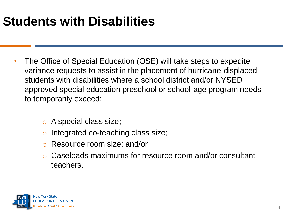- The Office of Special Education (OSE) will take steps to expedite variance requests to assist in the placement of hurricane-displaced students with disabilities where a school district and/or NYSED approved special education preschool or school-age program needs to temporarily exceed:
	- o A special class size;
	- Integrated co-teaching class size;
	- o Resource room size; and/or
	- Caseloads maximums for resource room and/or consultant teachers.

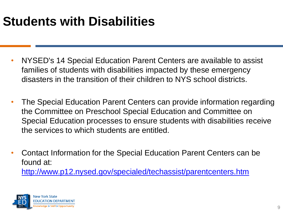- NYSED's 14 Special Education Parent Centers are available to assist families of students with disabilities impacted by these emergency disasters in the transition of their children to NYS school districts.
- The Special Education Parent Centers can provide information regarding the Committee on Preschool Special Education and Committee on Special Education processes to ensure students with disabilities receive the services to which students are entitled.
- Contact Information for the Special Education Parent Centers can be found at: <http://www.p12.nysed.gov/specialed/techassist/parentcenters.htm>

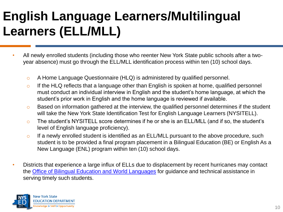# **English Language Learners/Multilingual Learners (ELL/MLL)**

- All newly enrolled students (including those who reenter New York State public schools after a twoyear absence) must go through the ELL/MLL identification process within ten (10) school days.
	- o A Home Language Questionnaire (HLQ) is administered by qualified personnel.
	- $\circ$  If the HLQ reflects that a language other than English is spoken at home, qualified personnel must conduct an individual interview in English and the student's home language, at which the student's prior work in English and the home language is reviewed if available.
	- o Based on information gathered at the interview, the qualified personnel determines if the student will take the New York State Identification Test for English Language Learners (NYSITELL).
	- o The student's NYSITELL score determines if he or she is an ELL/MLL (and if so, the student's level of English language proficiency).
	- $\circ$  If a newly enrolled student is identified as an ELL/MLL pursuant to the above procedure, such student is to be provided a final program placement in a Bilingual Education (BE) or English As a New Language (ENL) program within ten (10) school days.
- Districts that experience a large influx of ELLs due to displacement by recent hurricanes may contact the [Office of Bilingual Education and World Languages](mailto:obewl@nysed.gov) for guidance and technical assistance in serving timely such students.

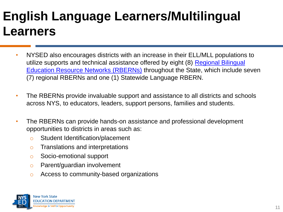### **English Language Learners/Multilingual Learners**

- NYSED also encourages districts with an increase in their ELL/MLL populations to [utilize supports and technical assistance offered by eight \(8\) Regional Bilingual](http://www.nysed.gov/bilingual-ed/schools/regional-supportrberns)  Education Resource Networks (RBERNs) throughout the State, which include seven (7) regional RBERNs and one (1) Statewide Language RBERN.
- The RBERNs provide invaluable support and assistance to all districts and schools across NYS, to educators, leaders, support persons, families and students.
- The RBERNs can provide hands-on assistance and professional development opportunities to districts in areas such as:
	- o Student Identification/placement
	- o Translations and interpretations
	- o Socio-emotional support
	- o Parent/guardian involvement
	- o Access to community-based organizations

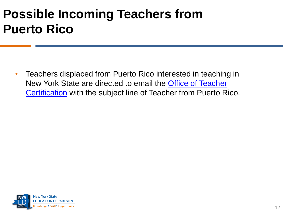# **Possible Incoming Teachers from Puerto Rico**

• Teachers displaced from Puerto Rico interested in teaching in [New York State are directed to email the Office of Teacher](mailto:tcert@nysed.gov) Certification with the subject line of Teacher from Puerto Rico.